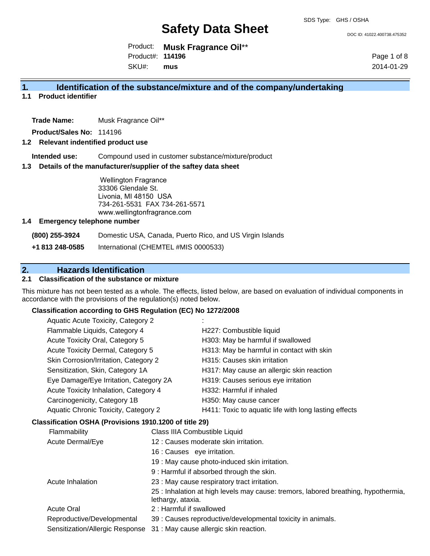DOC ID: 41022.400738.475352

Product: **Musk Fragrance Oil**\*\* SKU#: Product#: **114196 mus**

Page 1 of 8 2014-01-29

#### **1. Identification of the substance/mixture and of the company/undertaking**

**1.1 Product identifier**

**Trade Name:** Musk Fragrance Oil\*\*

**Product/Sales No:** 114196

#### **1.2 Relevant indentified product use**

**Intended use:** Compound used in customer substance/mixture/product

#### **1.3 Details of the manufacturer/supplier of the saftey data sheet**

Wellington Fragrance 33306 Glendale St. Livonia, MI 48150 USA 734-261-5531 FAX 734-261-5571 www.wellingtonfragrance.com

#### **1.4 Emergency telephone number**

**(800) 255-3924** Domestic USA, Canada, Puerto Rico, and US Virgin Islands

**+1 813 248-0585** International (CHEMTEL #MIS 0000533)

#### **2. Hazards Identification**

#### **2.1 Classification of the substance or mixture**

This mixture has not been tested as a whole. The effects, listed below, are based on evaluation of individual components in accordance with the provisions of the regulation(s) noted below.

#### **Classification according to GHS Regulation (EC) No 1272/2008**

| Aquatic Acute Toxicity, Category 2     |                                                       |
|----------------------------------------|-------------------------------------------------------|
| Flammable Liquids, Category 4          | H227: Combustible liquid                              |
| Acute Toxicity Oral, Category 5        | H303: May be harmful if swallowed                     |
| Acute Toxicity Dermal, Category 5      | H313: May be harmful in contact with skin             |
| Skin Corrosion/Irritation, Category 2  | H315: Causes skin irritation                          |
| Sensitization, Skin, Category 1A       | H317: May cause an allergic skin reaction             |
| Eye Damage/Eye Irritation, Category 2A | H319: Causes serious eye irritation                   |
| Acute Toxicity Inhalation, Category 4  | H332: Harmful if inhaled                              |
| Carcinogenicity, Category 1B           | H350: May cause cancer                                |
| Aquatic Chronic Toxicity, Category 2   | H411: Toxic to aquatic life with long lasting effects |
|                                        |                                                       |

#### **Classification OSHA (Provisions 1910.1200 of title 29)**

| Flammability                    | Class IIIA Combustible Liquid                                                                           |
|---------------------------------|---------------------------------------------------------------------------------------------------------|
| Acute Dermal/Eye                | 12 : Causes moderate skin irritation.                                                                   |
|                                 | 16 : Causes eye irritation.                                                                             |
|                                 | 19 : May cause photo-induced skin irritation.                                                           |
|                                 | 9 : Harmful if absorbed through the skin.                                                               |
| Acute Inhalation                | 23 : May cause respiratory tract irritation.                                                            |
|                                 | 25 : Inhalation at high levels may cause: tremors, labored breathing, hypothermia,<br>lethargy, ataxia. |
| <b>Acute Oral</b>               | 2 : Harmful if swallowed                                                                                |
| Reproductive/Developmental      | 39 : Causes reproductive/developmental toxicity in animals.                                             |
| Sensitization/Allergic Response | 31 : May cause allergic skin reaction.                                                                  |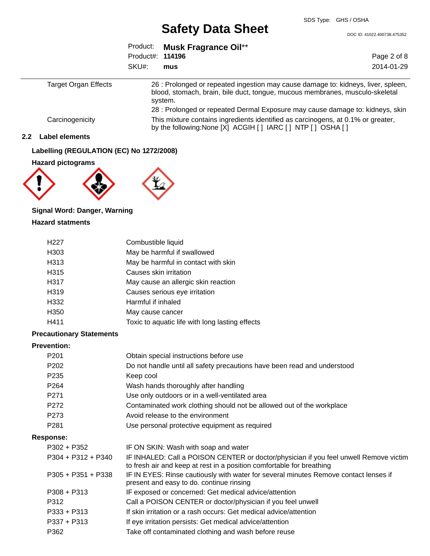DOC ID: 41022.400738.475352

|                      |                  | Product: Musk Fragrance Oil**                                                                                                                                                |             |  |
|----------------------|------------------|------------------------------------------------------------------------------------------------------------------------------------------------------------------------------|-------------|--|
|                      | Product#: 114196 |                                                                                                                                                                              | Page 2 of 8 |  |
|                      | SKU#:            | mus                                                                                                                                                                          | 2014-01-29  |  |
| Target Organ Effects |                  | 26 : Prolonged or repeated ingestion may cause damage to: kidneys, liver, spleen,<br>blood, stomach, brain, bile duct, tongue, mucous membranes, musculo-skeletal<br>system. |             |  |
| Carcinogenicity      |                  | 28 : Prolonged or repeated Dermal Exposure may cause damage to: kidneys, skin<br>This mixture contains ingredients identified as carcinogens, at 0.1% or greater,            |             |  |
|                      |                  | by the following: None [X] ACGIH [ ] IARC [ ] NTP [ ] OSHA [ ]                                                                                                               |             |  |

#### **2.2 Label elements**

#### **Labelling (REGULATION (EC) No 1272/2008)**

**Hazard pictograms**



#### **Signal Word: Danger, Warning Hazard statments**

| H <sub>22</sub> 7 | Combustible liquid                              |
|-------------------|-------------------------------------------------|
| H <sub>303</sub>  | May be harmful if swallowed                     |
| H313              | May be harmful in contact with skin             |
| H315              | Causes skin irritation                          |
| H317              | May cause an allergic skin reaction             |
| H <sub>3</sub> 19 | Causes serious eye irritation                   |
| H332              | Harmful if inhaled                              |
| H <sub>350</sub>  | May cause cancer                                |
| H411              | Toxic to aquatic life with long lasting effects |
|                   |                                                 |

#### **Precautionary Statements**

#### **Prevention:**

| . ו סיכוונוטוו.      |                                                                                                                                                                |
|----------------------|----------------------------------------------------------------------------------------------------------------------------------------------------------------|
| P <sub>201</sub>     | Obtain special instructions before use                                                                                                                         |
| P <sub>202</sub>     | Do not handle until all safety precautions have been read and understood                                                                                       |
| P <sub>235</sub>     | Keep cool                                                                                                                                                      |
| P <sub>264</sub>     | Wash hands thoroughly after handling                                                                                                                           |
| P <sub>271</sub>     | Use only outdoors or in a well-ventilated area                                                                                                                 |
| P272                 | Contaminated work clothing should not be allowed out of the workplace                                                                                          |
| P273                 | Avoid release to the environment                                                                                                                               |
| P <sub>281</sub>     | Use personal protective equipment as required                                                                                                                  |
| Response:            |                                                                                                                                                                |
| P302 + P352          | IF ON SKIN: Wash with soap and water                                                                                                                           |
| $P304 + P312 + P340$ | IF INHALED: Call a POISON CENTER or doctor/physician if you feel unwell Remove victim<br>to fresh air and keep at rest in a position comfortable for breathing |
| $P305 + P351 + P338$ | IF IN EYES: Rinse cautiously with water for several minutes Remove contact lenses if<br>present and easy to do. continue rinsing                               |
| $P308 + P313$        | IF exposed or concerned: Get medical advice/attention                                                                                                          |
| P312                 | Call a POISON CENTER or doctor/physician if you feel unwell                                                                                                    |
| $P333 + P313$        | If skin irritation or a rash occurs: Get medical advice/attention                                                                                              |
| P337 + P313          | If eye irritation persists: Get medical advice/attention                                                                                                       |
| P362                 | Take off contaminated clothing and wash before reuse                                                                                                           |
|                      |                                                                                                                                                                |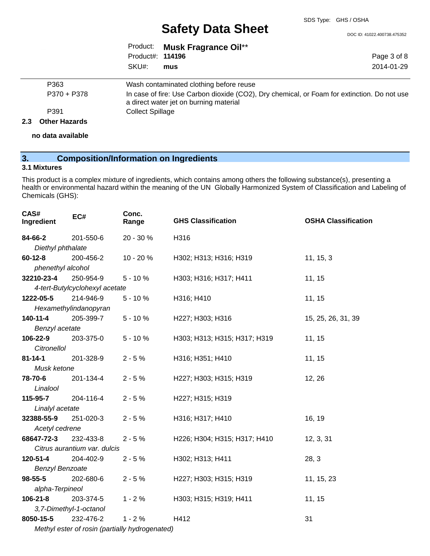DOC ID: 41022.400738.475352

Page 3 of 8 2014-01-29

|                         | Product: Musk Fragrance Oil** |
|-------------------------|-------------------------------|
| Product#: <b>114196</b> |                               |
| SKU#: mus               |                               |

| P363        | Wash contaminated clothing before reuse                                                     |
|-------------|---------------------------------------------------------------------------------------------|
| P370 + P378 | In case of fire: Use Carbon dioxide (CO2), Dry chemical, or Foam for extinction. Do not use |
|             | a direct water jet on burning material                                                      |
| P391        | <b>Collect Spillage</b>                                                                     |
|             |                                                                                             |

#### **2.3 Other Hazards**

**no data available**

#### **3. Composition/Information on Ingredients**

#### **3.1 Mixtures**

This product is a complex mixture of ingredients, which contains among others the following substance(s), presenting a health or environmental hazard within the meaning of the UN Globally Harmonized System of Classification and Labeling of Chemicals (GHS):

| CAS#<br>Ingredient                             | EC#                            | Conc.<br>Range | <b>GHS Classification</b>    | <b>OSHA Classification</b> |  |
|------------------------------------------------|--------------------------------|----------------|------------------------------|----------------------------|--|
| 84-66-2                                        | 201-550-6                      | 20 - 30 %      | H316                         |                            |  |
| Diethyl phthalate                              |                                |                |                              |                            |  |
| $60 - 12 - 8$                                  | 200-456-2                      | 10 - 20 %      | H302; H313; H316; H319       | 11, 15, 3                  |  |
| phenethyl alcohol                              |                                |                |                              |                            |  |
| 32210-23-4                                     | 250-954-9                      | $5 - 10%$      | H303; H316; H317; H411       | 11, 15                     |  |
|                                                | 4-tert-Butylcyclohexyl acetate |                |                              |                            |  |
| 1222-05-5                                      | 214-946-9                      | $5 - 10%$      | H316; H410                   | 11, 15                     |  |
|                                                | Hexamethylindanopyran          |                |                              |                            |  |
| 140-11-4                                       | 205-399-7                      | $5 - 10%$      | H227; H303; H316             | 15, 25, 26, 31, 39         |  |
| Benzyl acetate                                 |                                |                |                              |                            |  |
| 106-22-9                                       | 203-375-0                      | $5 - 10%$      | H303; H313; H315; H317; H319 | 11, 15                     |  |
| Citronellol                                    |                                |                |                              |                            |  |
| $81 - 14 - 1$                                  | 201-328-9                      | $2 - 5%$       | H316; H351; H410             | 11, 15                     |  |
| Musk ketone                                    |                                |                |                              |                            |  |
| 78-70-6                                        | 201-134-4                      | $2 - 5%$       | H227; H303; H315; H319       | 12, 26                     |  |
| Linalool                                       |                                |                |                              |                            |  |
| 115-95-7                                       | 204-116-4                      | $2 - 5%$       | H227; H315; H319             |                            |  |
| Linalyl acetate                                |                                |                |                              |                            |  |
| 32388-55-9                                     | 251-020-3                      | $2 - 5%$       | H316; H317; H410             | 16, 19                     |  |
| Acetyl cedrene                                 |                                |                |                              |                            |  |
| 68647-72-3                                     | 232-433-8                      | $2 - 5%$       | H226; H304; H315; H317; H410 | 12, 3, 31                  |  |
|                                                | Citrus aurantium var. dulcis   |                |                              |                            |  |
| 120-51-4                                       | 204-402-9                      | $2 - 5%$       | H302; H313; H411             | 28, 3                      |  |
| <b>Benzyl Benzoate</b>                         |                                |                |                              |                            |  |
| 98-55-5                                        | 202-680-6                      | $2 - 5%$       | H227; H303; H315; H319       | 11, 15, 23                 |  |
| alpha-Terpineol                                |                                |                |                              |                            |  |
| $106 - 21 - 8$                                 | 203-374-5                      | $1 - 2%$       | H303; H315; H319; H411       | 11, 15                     |  |
|                                                | 3,7-Dimethyl-1-octanol         |                |                              |                            |  |
| 8050-15-5                                      | 232-476-2                      | $1 - 2%$       | H412                         | 31                         |  |
| Methyl ester of rosin (partially hydrogenated) |                                |                |                              |                            |  |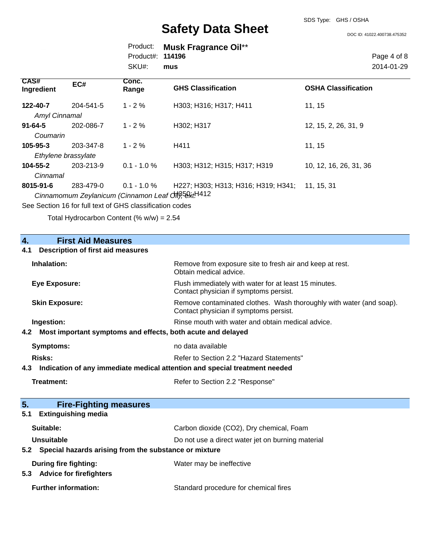SDS Type: GHS / OSHA

DOC ID: 41022.400738.475352

|                         | Product: Musk Fragrance Oil** |
|-------------------------|-------------------------------|
| Product#: <b>114196</b> |                               |
| SKU#: mus               |                               |

Page 4 of 8 2014-01-29

| <b>CAS#</b><br>Ingredient | EC#                              | Conc.<br>Range                                                        | <b>GHS Classification</b>           | <b>OSHA Classification</b> |
|---------------------------|----------------------------------|-----------------------------------------------------------------------|-------------------------------------|----------------------------|
| 122-40-7<br>Amyl Cinnamal | 204-541-5                        | $1 - 2\%$                                                             | H303; H316; H317; H411              | 11, 15                     |
| $91 - 64 - 5$<br>Coumarin | 202-086-7                        | $1 - 2\%$                                                             | H302; H317                          | 12, 15, 2, 26, 31, 9       |
| $105 - 95 - 3$            | 203-347-8<br>Ethylene brassylate | $1 - 2%$                                                              | H411                                | 11, 15                     |
| 104-55-2<br>Cinnamal      | 203-213-9                        | $0.1 - 1.0 \%$                                                        | H303; H312; H315; H317; H319        | 10, 12, 16, 26, 31, 36     |
| 8015-91-6                 | 283-479-0                        | $0.1 - 1.0 \%$<br>Cinnamomum Zeylanicum (Cinnamon Leaf Off), 52xtH412 | H227; H303; H313; H316; H319; H341; | 11, 15, 31                 |

See Section 16 for full text of GHS classification codes

Total Hydrocarbon Content (% w/w) = 2.54

| 4.<br><b>First Aid Measures</b>                                    |                                                                                                               |  |  |  |  |
|--------------------------------------------------------------------|---------------------------------------------------------------------------------------------------------------|--|--|--|--|
| <b>Description of first aid measures</b><br>4.1                    |                                                                                                               |  |  |  |  |
| Inhalation:                                                        | Remove from exposure site to fresh air and keep at rest.<br>Obtain medical advice.                            |  |  |  |  |
| <b>Eye Exposure:</b>                                               | Flush immediately with water for at least 15 minutes.<br>Contact physician if symptoms persist.               |  |  |  |  |
| <b>Skin Exposure:</b>                                              | Remove contaminated clothes. Wash thoroughly with water (and soap).<br>Contact physician if symptoms persist. |  |  |  |  |
| Ingestion:                                                         | Rinse mouth with water and obtain medical advice.                                                             |  |  |  |  |
| Most important symptoms and effects, both acute and delayed<br>4.2 |                                                                                                               |  |  |  |  |
| <b>Symptoms:</b>                                                   | no data available                                                                                             |  |  |  |  |
| Risks:                                                             | Refer to Section 2.2 "Hazard Statements"                                                                      |  |  |  |  |
| 4.3                                                                | Indication of any immediate medical attention and special treatment needed                                    |  |  |  |  |
| <b>Treatment:</b>                                                  | Refer to Section 2.2 "Response"                                                                               |  |  |  |  |
| 5.<br><b>Fire-Fighting measures</b>                                |                                                                                                               |  |  |  |  |
| <b>Extinguishing media</b><br>5.1                                  |                                                                                                               |  |  |  |  |
| Suitable:                                                          | Carbon dioxide (CO2), Dry chemical, Foam                                                                      |  |  |  |  |
| <b>Unsuitable</b>                                                  | Do not use a direct water jet on burning material                                                             |  |  |  |  |
| 5.2                                                                | Special hazards arising from the substance or mixture                                                         |  |  |  |  |
| During fire fighting:<br><b>Advice for firefighters</b><br>5.3     | Water may be ineffective                                                                                      |  |  |  |  |
| <b>Further information:</b>                                        | Standard procedure for chemical fires                                                                         |  |  |  |  |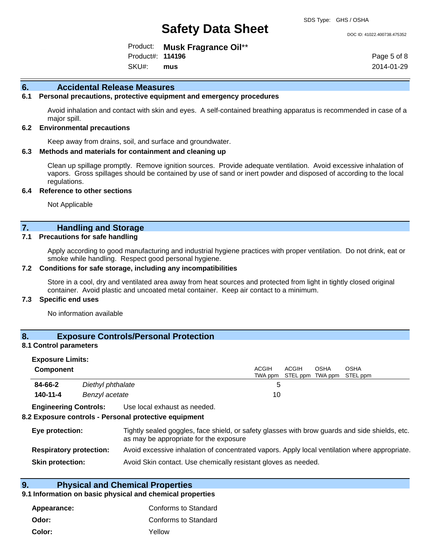#### DOC ID: 41022.400738.475352

Product: **Musk Fragrance Oil**\*\* SKU#: Product#: **114196 mus**

Page 5 of 8 2014-01-29

#### **6. Accidental Release Measures**

#### **6.1 Personal precautions, protective equipment and emergency procedures**

Avoid inhalation and contact with skin and eyes. A self-contained breathing apparatus is recommended in case of a major spill.

#### **6.2 Environmental precautions**

Keep away from drains, soil, and surface and groundwater.

#### **6.3 Methods and materials for containment and cleaning up**

Clean up spillage promptly. Remove ignition sources. Provide adequate ventilation. Avoid excessive inhalation of vapors. Gross spillages should be contained by use of sand or inert powder and disposed of according to the local regulations.

#### **6.4 Reference to other sections**

Not Applicable

#### **7. Handling and Storage**

#### **7.1 Precautions for safe handling**

Apply according to good manufacturing and industrial hygiene practices with proper ventilation. Do not drink, eat or smoke while handling. Respect good personal hygiene.

#### **7.2 Conditions for safe storage, including any incompatibilities**

Store in a cool, dry and ventilated area away from heat sources and protected from light in tightly closed original container. Avoid plastic and uncoated metal container. Keep air contact to a minimum.

#### **7.3 Specific end uses**

No information available

#### **8. Exposure Controls/Personal Protection**

#### **8.1 Control parameters**

| <b>Exposure Limits:</b>      |                   |                                                                                                                                          |              |              |      |                                   |
|------------------------------|-------------------|------------------------------------------------------------------------------------------------------------------------------------------|--------------|--------------|------|-----------------------------------|
| <b>Component</b>             |                   |                                                                                                                                          | <b>ACGIH</b> | <b>ACGIH</b> | OSHA | <b>OSHA</b>                       |
|                              |                   |                                                                                                                                          |              |              |      | TWA ppm STEL ppm TWA ppm STEL ppm |
| 84-66-2                      | Diethyl phthalate |                                                                                                                                          | 5            |              |      |                                   |
| 140-11-4<br>Benzyl acetate   |                   |                                                                                                                                          | 10           |              |      |                                   |
| <b>Engineering Controls:</b> |                   | Use local exhaust as needed.                                                                                                             |              |              |      |                                   |
|                              |                   | 8.2 Exposure controls - Personal protective equipment                                                                                    |              |              |      |                                   |
| Eye protection:              |                   | Tightly sealed goggles, face shield, or safety glasses with brow guards and side shields, etc.<br>as may be appropriate for the exposure |              |              |      |                                   |

| <b>Respiratory protection:</b> | Avoid excessive inhalation of concentrated vapors. Apply local ventilation where appropriate. |  |
|--------------------------------|-----------------------------------------------------------------------------------------------|--|
|                                |                                                                                               |  |

**Skin protection:** Avoid Skin contact. Use chemically resistant gloves as needed.

#### **9. Physical and Chemical Properties**

#### **9.1 Information on basic physical and chemical properties**

| Appearance: | Conforms to Standard |
|-------------|----------------------|
| Odor:       | Conforms to Standard |
| Color:      | Yellow               |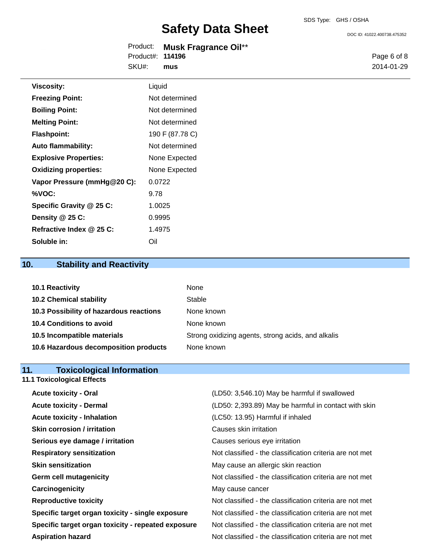DOC ID: 41022.400738.475352

|                  | Product: Musk Fragrance Oil** |
|------------------|-------------------------------|
| Product#: 114196 |                               |
| SKU#:            | mus                           |

Page 6 of 8 2014-01-29

| Viscosity:                   | Liquid          |
|------------------------------|-----------------|
| <b>Freezing Point:</b>       | Not determined  |
| <b>Boiling Point:</b>        | Not determined  |
| <b>Melting Point:</b>        | Not determined  |
| <b>Flashpoint:</b>           | 190 F (87.78 C) |
| <b>Auto flammability:</b>    | Not determined  |
| <b>Explosive Properties:</b> | None Expected   |
| <b>Oxidizing properties:</b> | None Expected   |
| Vapor Pressure (mmHg@20 C):  | 0.0722          |
| %VOC:                        | 9.78            |
| Specific Gravity @ 25 C:     | 1.0025          |
| Density @ 25 C:              | 0.9995          |
| Refractive Index @ 25 C:     | 1.4975          |
| Soluble in:                  | Oil             |

## **10. Stability and Reactivity**

| 10.1 Reactivity                         | None                                               |
|-----------------------------------------|----------------------------------------------------|
| <b>10.2 Chemical stability</b>          | Stable                                             |
| 10.3 Possibility of hazardous reactions | None known                                         |
| 10.4 Conditions to avoid                | None known                                         |
| 10.5 Incompatible materials             | Strong oxidizing agents, strong acids, and alkalis |
| 10.6 Hazardous decomposition products   | None known                                         |

# **11. Toxicological Information**<br>11.1 Toxicological Effects

|  | <b>11.1 Toxicological Effects</b> |
|--|-----------------------------------|
|  |                                   |

| <b>Acute toxicity - Oral</b>                       | (LD50: 3,546.10) May be harmful if swallowed             |
|----------------------------------------------------|----------------------------------------------------------|
| <b>Acute toxicity - Dermal</b>                     | (LD50: 2,393.89) May be harmful in contact with skin     |
| <b>Acute toxicity - Inhalation</b>                 | (LC50: 13.95) Harmful if inhaled                         |
| <b>Skin corrosion / irritation</b>                 | Causes skin irritation                                   |
| Serious eye damage / irritation                    | Causes serious eye irritation                            |
| <b>Respiratory sensitization</b>                   | Not classified - the classification criteria are not met |
| <b>Skin sensitization</b>                          | May cause an allergic skin reaction                      |
| <b>Germ cell mutagenicity</b>                      | Not classified - the classification criteria are not met |
| Carcinogenicity                                    | May cause cancer                                         |
| <b>Reproductive toxicity</b>                       | Not classified - the classification criteria are not met |
| Specific target organ toxicity - single exposure   | Not classified - the classification criteria are not met |
| Specific target organ toxicity - repeated exposure | Not classified - the classification criteria are not met |
| <b>Aspiration hazard</b>                           | Not classified - the classification criteria are not met |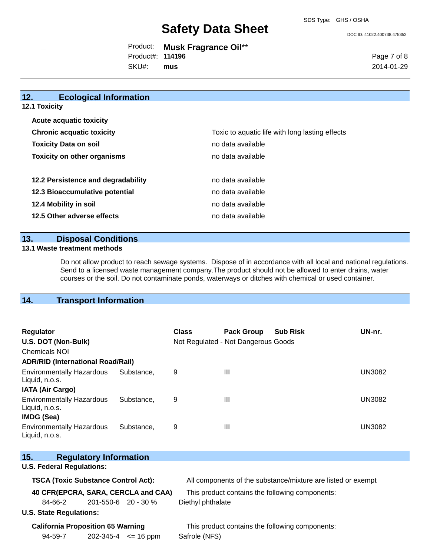DOC ID: 41022.400738.475352

|                         | Product: Musk Fragrance Oil** |
|-------------------------|-------------------------------|
| Product#: <b>114196</b> |                               |
| SKU#: mus               |                               |

Page 7 of 8 2014-01-29

| 12.<br><b>Ecological Information</b> |                                                 |
|--------------------------------------|-------------------------------------------------|
| <b>12.1 Toxicity</b>                 |                                                 |
| <b>Acute acquatic toxicity</b>       |                                                 |
| <b>Chronic acquatic toxicity</b>     | Toxic to aquatic life with long lasting effects |
| <b>Toxicity Data on soil</b>         | no data available                               |
| <b>Toxicity on other organisms</b>   | no data available                               |
| 12.2 Persistence and degradability   | no data available                               |
| 12.3 Bioaccumulative potential       | no data available                               |
| 12.4 Mobility in soil                | no data available                               |
| 12.5 Other adverse effects           | no data available                               |
|                                      |                                                 |

#### **13. Disposal Conditions**

#### **13.1 Waste treatment methods**

Do not allow product to reach sewage systems. Dispose of in accordance with all local and national regulations. Send to a licensed waste management company.The product should not be allowed to enter drains, water courses or the soil. Do not contaminate ponds, waterways or ditches with chemical or used container.

### **14. Transport Information**

| <b>Regulator</b><br>U.S. DOT (Non-Bulk)            |            | <b>Class</b> | <b>Pack Group</b><br>Not Regulated - Not Dangerous Goods | <b>Sub Risk</b> | UN-nr.        |
|----------------------------------------------------|------------|--------------|----------------------------------------------------------|-----------------|---------------|
| <b>Chemicals NOI</b>                               |            |              |                                                          |                 |               |
| <b>ADR/RID (International Road/Rail)</b>           |            |              |                                                          |                 |               |
| <b>Environmentally Hazardous</b><br>Liquid, n.o.s. | Substance. | 9            | Ш                                                        |                 | <b>UN3082</b> |
| <b>IATA (Air Cargo)</b>                            |            |              |                                                          |                 |               |
| <b>Environmentally Hazardous</b><br>Liquid, n.o.s. | Substance. | 9            | $\mathbf{III}$                                           |                 | UN3082        |
| <b>IMDG (Sea)</b>                                  |            |              |                                                          |                 |               |
| <b>Environmentally Hazardous</b><br>Liquid, n.o.s. | Substance. | 9            | $\mathbf{III}$                                           |                 | UN3082        |

| 15.                                                                                         | <b>Regulatory Information</b> |                             |                                                              |
|---------------------------------------------------------------------------------------------|-------------------------------|-----------------------------|--------------------------------------------------------------|
| <b>U.S. Federal Regulations:</b>                                                            |                               |                             |                                                              |
| <b>TSCA (Toxic Substance Control Act):</b>                                                  |                               |                             | All components of the substance/mixture are listed or exempt |
| 40 CFR(EPCRA, SARA, CERCLA and CAA)                                                         |                               |                             | This product contains the following components:              |
| 84-66-2                                                                                     | 201-550-6 20 - 30 %           |                             | Diethyl phthalate                                            |
| <b>U.S. State Regulations:</b>                                                              |                               |                             |                                                              |
| <b>California Proposition 65 Warning</b><br>This product contains the following components: |                               |                             |                                                              |
| 94-59-7                                                                                     |                               | $202 - 345 - 4 \leq 16$ ppm | Safrole (NFS)                                                |